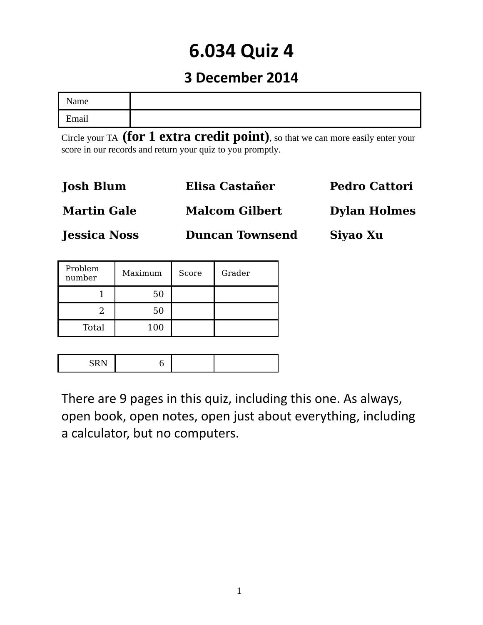# **6.034 Quiz 4**

## **3 December 2014**

| $\lambda$ ame |  |
|---------------|--|
| Email         |  |

Circle your TA **(for 1 extra credit point)**, so that we can more easily enter your score in our records and return your quiz to you promptly.

| <b>Josh Blum</b>    | Elisa Castañer         | <b>Pedro Cattori</b> |
|---------------------|------------------------|----------------------|
| <b>Martin Gale</b>  | <b>Malcom Gilbert</b>  | <b>Dylan Holmes</b>  |
| <b>Jessica Noss</b> | <b>Duncan Townsend</b> | Siyao Xu             |

| Problem<br>number | Maximum | Score | Grader |
|-------------------|---------|-------|--------|
|                   | 50      |       |        |
|                   | 50      |       |        |
| Total             | 100     |       |        |

|--|

There are 9 pages in this quiz, including this one. As always, open book, open notes, open just about everything, including a calculator, but no computers.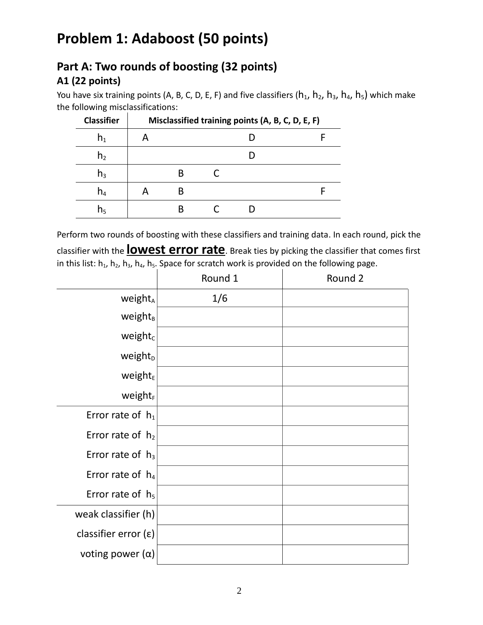# **Problem 1: Adaboost (50 points)**

### **Part A: Two rounds of boosting (32 points) A1 (22 points)**

You have six training points (A, B, C, D, E, F) and five classifiers ( $h_1$ ,  $h_2$ ,  $h_3$ ,  $h_4$ ,  $h_5$ ) which make the following misclassifications:

| <b>Classifier</b> | Misclassified training points (A, B, C, D, E, F) |  |  |  |  |  |
|-------------------|--------------------------------------------------|--|--|--|--|--|
| n <sub>1</sub>    | A                                                |  |  |  |  |  |
| h <sub>2</sub>    |                                                  |  |  |  |  |  |
| $n_3$             |                                                  |  |  |  |  |  |
| $n_4$             |                                                  |  |  |  |  |  |
| n <sub>5</sub>    |                                                  |  |  |  |  |  |

Perform two rounds of boosting with these classifiers and training data. In each round, pick the classifier with the **lowest error rate**. Break ties by picking the classifier that comes first in this list:  $h_1$ ,  $h_2$ ,  $h_3$ ,  $h_4$ ,  $h_5$ . Space for scratch work is provided on the following page.

|                               | Round 1 | Round 2 |
|-------------------------------|---------|---------|
| weight <sub>A</sub>           | 1/6     |         |
| weight <sub>B</sub>           |         |         |
| weight <sub>c</sub>           |         |         |
| weight <sub>D</sub>           |         |         |
| weight $E$                    |         |         |
| <b>weight</b> F               |         |         |
| Error rate of $h_1$           |         |         |
| Error rate of $h_2$           |         |         |
| Error rate of $h_3$           |         |         |
| Error rate of $h_4$           |         |         |
| Error rate of $h_5$           |         |         |
| weak classifier (h)           |         |         |
| classifier error $(\epsilon)$ |         |         |
| voting power $(\alpha)$       |         |         |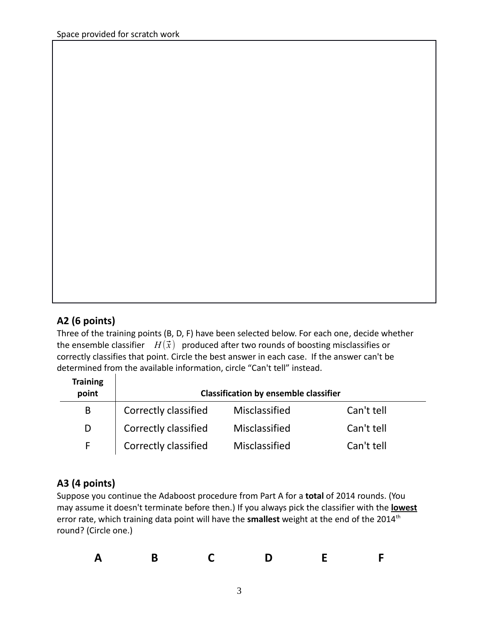### **A2 (6 points)**

Three of the training points (B, D, F) have been selected below. For each one, decide whether the ensemble classifier  $H(\vec{x})$  produced after two rounds of boosting misclassifies or correctly classifies that point. Circle the best answer in each case. If the answer can't be determined from the available information, circle "Can't tell" instead.

| <b>Training</b><br>point | <b>Classification by ensemble classifier</b> |               |            |  |
|--------------------------|----------------------------------------------|---------------|------------|--|
| B                        | Correctly classified                         | Misclassified | Can't tell |  |
| D                        | Correctly classified                         | Misclassified | Can't tell |  |
|                          | Correctly classified                         | Misclassified | Can't tell |  |

#### **A3 (4 points)**

Suppose you continue the Adaboost procedure from Part A for a **total** of 2014 rounds. (You may assume it doesn't terminate before then.) If you always pick the classifier with the **lowest** error rate, which training data point will have the **smallest** weight at the end of the 2014<sup>th</sup> round? (Circle one.)

| $\blacksquare$<br>$\blacksquare$<br>$\mathbf{A}$ |  |
|--------------------------------------------------|--|
|--------------------------------------------------|--|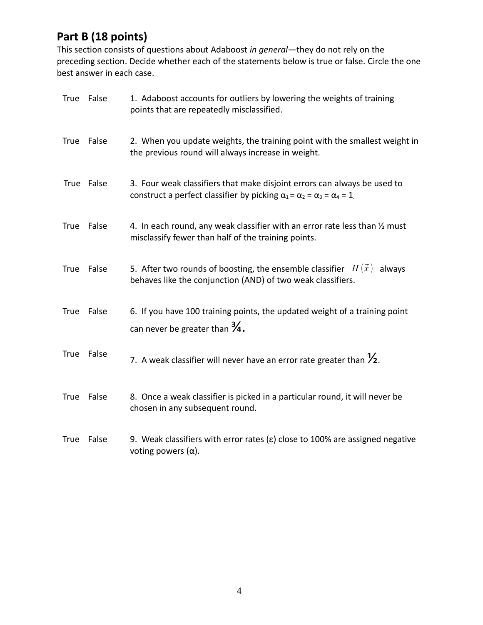### **Part B (18 points)**

This section consists of questions about Adaboost *in general*—they do not rely on the preceding section. Decide whether each of the statements below is true or false. Circle the one best answer in each case.

| <b>True</b> | False      | 1. Adaboost accounts for outliers by lowering the weights of training<br>points that are repeatedly misclassified.                                                      |
|-------------|------------|-------------------------------------------------------------------------------------------------------------------------------------------------------------------------|
| <b>True</b> | False      | 2. When you update weights, the training point with the smallest weight in<br>the previous round will always increase in weight.                                        |
|             | True False | 3. Four weak classifiers that make disjoint errors can always be used to<br>construct a perfect classifier by picking $\alpha_1 = \alpha_2 = \alpha_3 = \alpha_4 = 1$ . |
| <b>True</b> | False      | 4. In each round, any weak classifier with an error rate less than 1/2 must<br>misclassify fewer than half of the training points.                                      |
| <b>True</b> | False      | 5. After two rounds of boosting, the ensemble classifier $H(\vec{x})$<br>always<br>behaves like the conjunction (AND) of two weak classifiers.                          |
| <b>True</b> | False      | 6. If you have 100 training points, the updated weight of a training point<br>can never be greater than $\frac{3}{4}$ .                                                 |
| <b>True</b> | False      | 7. A weak classifier will never have an error rate greater than $\frac{1}{2}$ .                                                                                         |
| True        | False      | 8. Once a weak classifier is picked in a particular round, it will never be<br>chosen in any subsequent round.                                                          |
| <b>True</b> | False      | 9. Weak classifiers with error rates ( $\varepsilon$ ) close to 100% are assigned negative<br>voting powers $(\alpha)$ .                                                |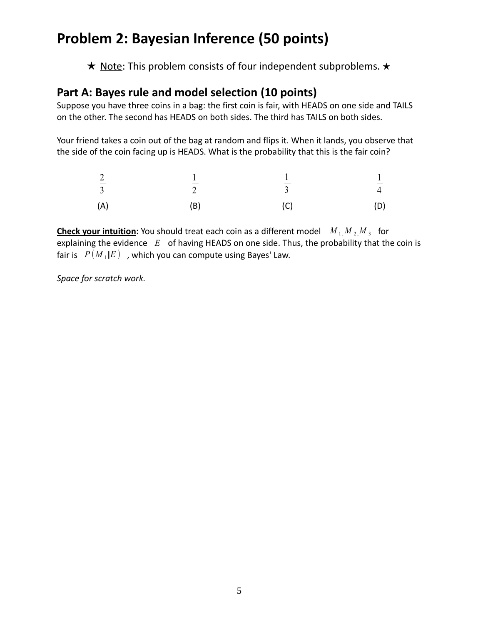# **Problem 2: Bayesian Inference (50 points)**

★ Note: This problem consists of four independent subproblems. ★

#### **Part A: Bayes rule and model selection (10 points)**

Suppose you have three coins in a bag: the first coin is fair, with HEADS on one side and TAILS on the other. The second has HEADS on both sides. The third has TAILS on both sides.

Your friend takes a coin out of the bag at random and flips it. When it lands, you observe that the side of the coin facing up is HEADS. What is the probability that this is the fair coin?

| $rac{2}{3}$ | $\gamma$ | $\overline{\mathbf{3}}$ | $rac{1}{4}$ |
|-------------|----------|-------------------------|-------------|
| (A)         | (B)      | (C)                     | (D)         |

**Check your intuition:** You should treat each coin as a different model  $M_1 M_2 M_3$  for explaining the evidence *E* of having HEADS on one side. Thus, the probability that the coin is fair is  $P(M_1|E)$ , which you can compute using Bayes' Law.

*Space for scratch work.*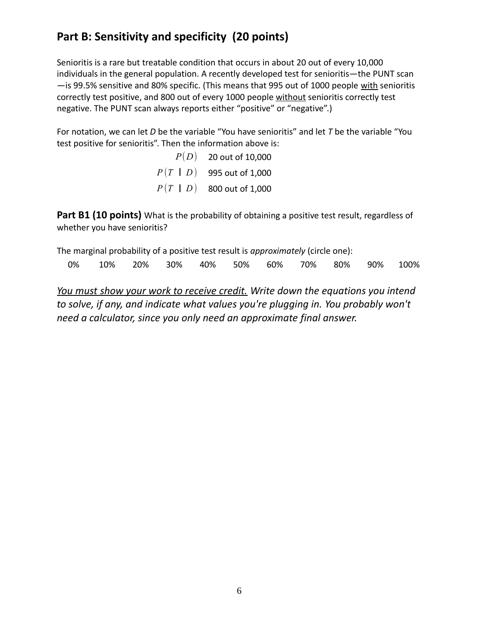### **Part B: Sensitivity and specificity (20 points)**

Senioritis is a rare but treatable condition that occurs in about 20 out of every 10,000 individuals in the general population. A recently developed test for senioritis—the PUNT scan —is 99.5% sensitive and 80% specific. (This means that 995 out of 1000 people with senioritis correctly test positive, and 800 out of every 1000 people without senioritis correctly test negative. The PUNT scan always reports either "positive" or "negative".)

For notation, we can let *D* be the variable "You have senioritis" and let *T* be the variable "You test positive for senioritis". Then the information above is:

> *P*(*D*) 20 out of 10,000 *<sup>P</sup>* (*<sup>T</sup>* | *<sup>D</sup>* ) 995 out of 1,000  $P(T | D)$  800 out of 1,000

Part B1 (10 points) What is the probability of obtaining a positive test result, regardless of whether you have senioritis?

The marginal probability of a positive test result is *approximately* (circle one): 0% 10% 20% 30% 40% 50% 60% 70% 80% 90% 100%

*You must show your work to receive credit. Write down the equations you intend to solve, if any, and indicate what values you're plugging in. You probably won't need a calculator, since you only need an approximate final answer.*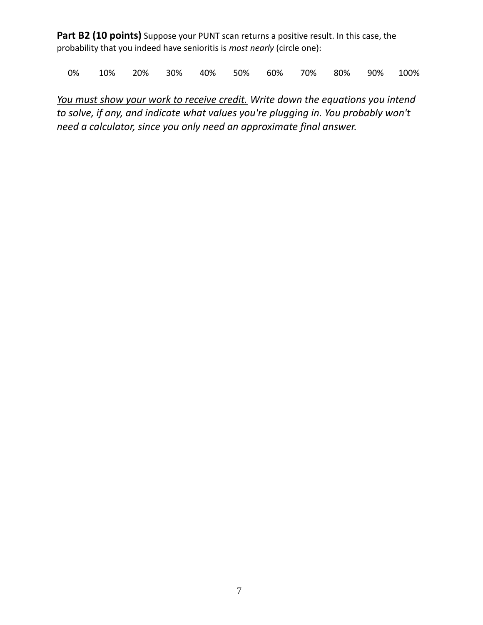Part B2 (10 points) Suppose your PUNT scan returns a positive result. In this case, the probability that you indeed have senioritis is *most nearly* (circle one):

0% 10% 20% 30% 40% 50% 60% 70% 80% 90% 100%

*You must show your work to receive credit. Write down the equations you intend to solve, if any, and indicate what values you're plugging in. You probably won't need a calculator, since you only need an approximate final answer.*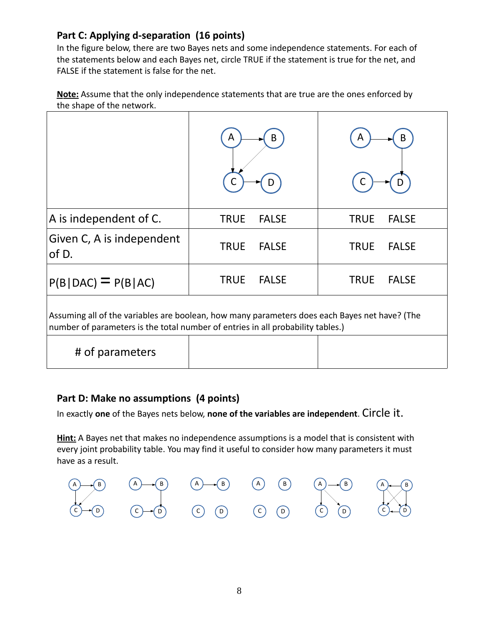#### **Part C: Applying d-separation (16 points)**

In the figure below, there are two Bayes nets and some independence statements. For each of the statements below and each Bayes net, circle TRUE if the statement is true for the net, and FALSE if the statement is false for the net.

 **Note:** Assume that the only independence statements that are true are the ones enforced by the shape of the network.

|                                                                                                                                                                                  | A           | B            | A           |              |
|----------------------------------------------------------------------------------------------------------------------------------------------------------------------------------|-------------|--------------|-------------|--------------|
| A is independent of C.                                                                                                                                                           | <b>TRUE</b> | <b>FALSE</b> | <b>TRUE</b> | <b>FALSE</b> |
| Given C, A is independent<br>of D.                                                                                                                                               | <b>TRUE</b> | <b>FALSE</b> | <b>TRUE</b> | <b>FALSE</b> |
| $P(B DAC) = P(B AC)$                                                                                                                                                             | <b>TRUE</b> | <b>FALSE</b> | <b>TRUE</b> | <b>FALSE</b> |
| Assuming all of the variables are boolean, how many parameters does each Bayes net have? (The<br>number of parameters is the total number of entries in all probability tables.) |             |              |             |              |
| # of parameters                                                                                                                                                                  |             |              |             |              |

#### **Part D: Make no assumptions (4 points)**

In exactly **one** of the Bayes nets below, **none of the variables are independent**. Circle it.

**Hint:** A Bayes net that makes no independence assumptions is a model that is consistent with every joint probability table. You may find it useful to consider how many parameters it must have as a result.